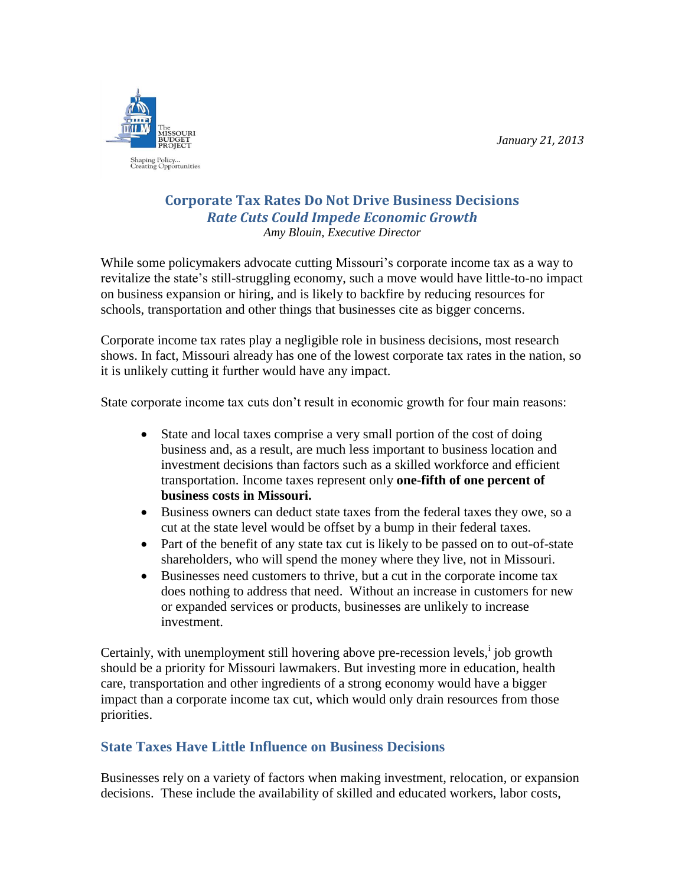*January 21, 2013*



### **Corporate Tax Rates Do Not Drive Business Decisions** *Rate Cuts Could Impede Economic Growth Amy Blouin, Executive Director*

While some policymakers advocate cutting Missouri's corporate income tax as a way to revitalize the state's still-struggling economy, such a move would have little-to-no impact on business expansion or hiring, and is likely to backfire by reducing resources for schools, transportation and other things that businesses cite as bigger concerns.

Corporate income tax rates play a negligible role in business decisions, most research shows. In fact, Missouri already has one of the lowest corporate tax rates in the nation, so it is unlikely cutting it further would have any impact.

State corporate income tax cuts don't result in economic growth for four main reasons:

- State and local taxes comprise a very small portion of the cost of doing business and, as a result, are much less important to business location and investment decisions than factors such as a skilled workforce and efficient transportation. Income taxes represent only **one-fifth of one percent of business costs in Missouri.**
- Business owners can deduct state taxes from the federal taxes they owe, so a cut at the state level would be offset by a bump in their federal taxes.
- Part of the benefit of any state tax cut is likely to be passed on to out-of-state shareholders, who will spend the money where they live, not in Missouri.
- Businesses need customers to thrive, but a cut in the corporate income tax does nothing to address that need. Without an increase in customers for new or expanded services or products, businesses are unlikely to increase investment.

Certainly, with unemployment still hovering above pre-recession levels, j job growth should be a priority for Missouri lawmakers. But investing more in education, health care, transportation and other ingredients of a strong economy would have a bigger impact than a corporate income tax cut, which would only drain resources from those priorities.

# **State Taxes Have Little Influence on Business Decisions**

Businesses rely on a variety of factors when making investment, relocation, or expansion decisions. These include the availability of skilled and educated workers, labor costs,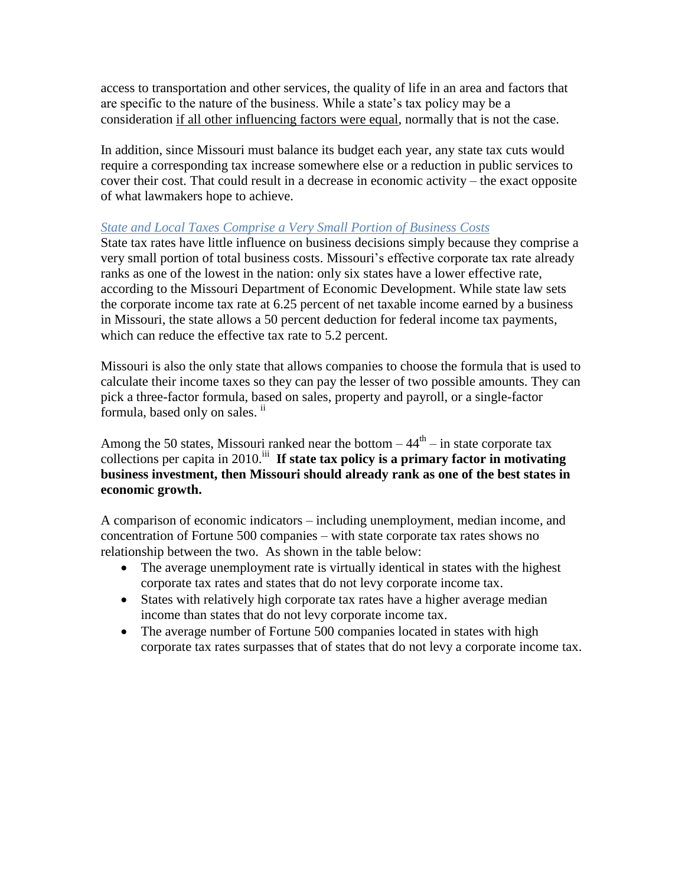access to transportation and other services, the quality of life in an area and factors that are specific to the nature of the business. While a state's tax policy may be a consideration if all other influencing factors were equal, normally that is not the case.

In addition, since Missouri must balance its budget each year, any state tax cuts would require a corresponding tax increase somewhere else or a reduction in public services to cover their cost. That could result in a decrease in economic activity – the exact opposite of what lawmakers hope to achieve.

### *State and Local Taxes Comprise a Very Small Portion of Business Costs*

State tax rates have little influence on business decisions simply because they comprise a very small portion of total business costs. Missouri's effective corporate tax rate already ranks as one of the lowest in the nation: only six states have a lower effective rate, according to the Missouri Department of Economic Development. While state law sets the corporate income tax rate at 6.25 percent of net taxable income earned by a business in Missouri, the state allows a 50 percent deduction for federal income tax payments, which can reduce the effective tax rate to 5.2 percent.

Missouri is also the only state that allows companies to choose the formula that is used to calculate their income taxes so they can pay the lesser of two possible amounts. They can pick a three-factor formula, based on sales, property and payroll, or a single-factor formula, based only on sales.  $\mathbf{u}$ 

Among the 50 states, Missouri ranked near the bottom  $-44<sup>th</sup> -$  in state corporate tax collections per capita in 2010.<sup>iii</sup> If state tax policy is a primary factor in motivating **business investment, then Missouri should already rank as one of the best states in economic growth.**

A comparison of economic indicators – including unemployment, median income, and concentration of Fortune 500 companies – with state corporate tax rates shows no relationship between the two. As shown in the table below:

- The average unemployment rate is virtually identical in states with the highest corporate tax rates and states that do not levy corporate income tax.
- States with relatively high corporate tax rates have a higher average median income than states that do not levy corporate income tax.
- The average number of Fortune 500 companies located in states with high corporate tax rates surpasses that of states that do not levy a corporate income tax.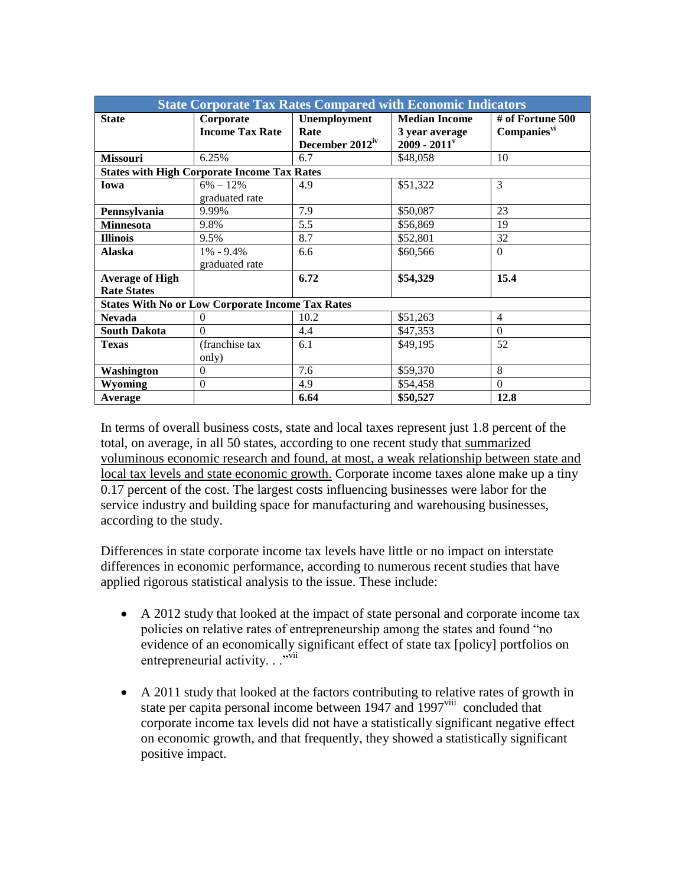| <b>State Corporate Tax Rates Compared with Economic Indicators</b> |                        |                             |                            |                         |
|--------------------------------------------------------------------|------------------------|-----------------------------|----------------------------|-------------------------|
| <b>State</b>                                                       | Corporate              | Unemployment                | <b>Median Income</b>       | # of Fortune $500$      |
|                                                                    | <b>Income Tax Rate</b> | Rate                        | 3 year average             | Companies <sup>vi</sup> |
|                                                                    |                        | December 2012 <sup>iv</sup> | $2009 - 2011$ <sup>v</sup> |                         |
| <b>Missouri</b>                                                    | 6.25%                  | 6.7                         | \$48,058                   | 10                      |
| <b>States with High Corporate Income Tax Rates</b>                 |                        |                             |                            |                         |
| Iowa                                                               | $6\% - 12\%$           | 4.9                         | \$51,322                   | 3                       |
|                                                                    | graduated rate         |                             |                            |                         |
| Pennsylvania                                                       | 9.99%                  | 7.9                         | \$50,087                   | 23                      |
| <b>Minnesota</b>                                                   | 9.8%                   | 5.5                         | \$56,869                   | 19                      |
| <b>Illinois</b>                                                    | 9.5%                   | 8.7                         | \$52,801                   | 32                      |
| <b>Alaska</b>                                                      | $1\% - 9.4\%$          | 6.6                         | \$60,566                   | $\Omega$                |
|                                                                    | graduated rate         |                             |                            |                         |
| <b>Average of High</b>                                             |                        | 6.72                        | \$54,329                   | 15.4                    |
| <b>Rate States</b>                                                 |                        |                             |                            |                         |
| <b>States With No or Low Corporate Income Tax Rates</b>            |                        |                             |                            |                         |
| <b>Nevada</b>                                                      | $\mathbf{0}$           | 10.2                        | \$51,263                   | $\overline{4}$          |
| <b>South Dakota</b>                                                | $\Omega$               | 4.4                         | \$47,353                   | $\Omega$                |
| <b>Texas</b>                                                       | (franchise tax)        | 6.1                         | \$49,195                   | 52                      |
|                                                                    | only)                  |                             |                            |                         |
| Washington                                                         | $\overline{0}$         | 7.6                         | \$59,370                   | 8                       |
| <b>Wyoming</b>                                                     | $\boldsymbol{0}$       | 4.9                         | \$54,458                   | $\Omega$                |
| Average                                                            |                        | 6.64                        | \$50,527                   | 12.8                    |

In terms of overall business costs, state and local taxes represent just 1.8 percent of the total, on average, in all 50 states, according to one recent study that summarized voluminous economic research and found, at most, a weak relationship between state and local tax levels and state economic growth. Corporate income taxes alone make up a tiny 0.17 percent of the cost. The largest costs influencing businesses were labor for the service industry and building space for manufacturing and warehousing businesses, according to the study.

Differences in state corporate income tax levels have little or no impact on interstate differences in economic performance, according to numerous recent studies that have applied rigorous statistical analysis to the issue. These include:

- A 2012 study that looked at the impact of state personal and corporate income tax policies on relative rates of entrepreneurship among the states and found "no evidence of an economically significant effect of state tax [policy] portfolios on entrepreneurial activity. . ."vii
- A 2011 study that looked at the factors contributing to relative rates of growth in state per capita personal income between 1947 and 1997<sup>viii</sup> concluded that corporate income tax levels did not have a statistically significant negative effect on economic growth, and that frequently, they showed a statistically significant positive impact.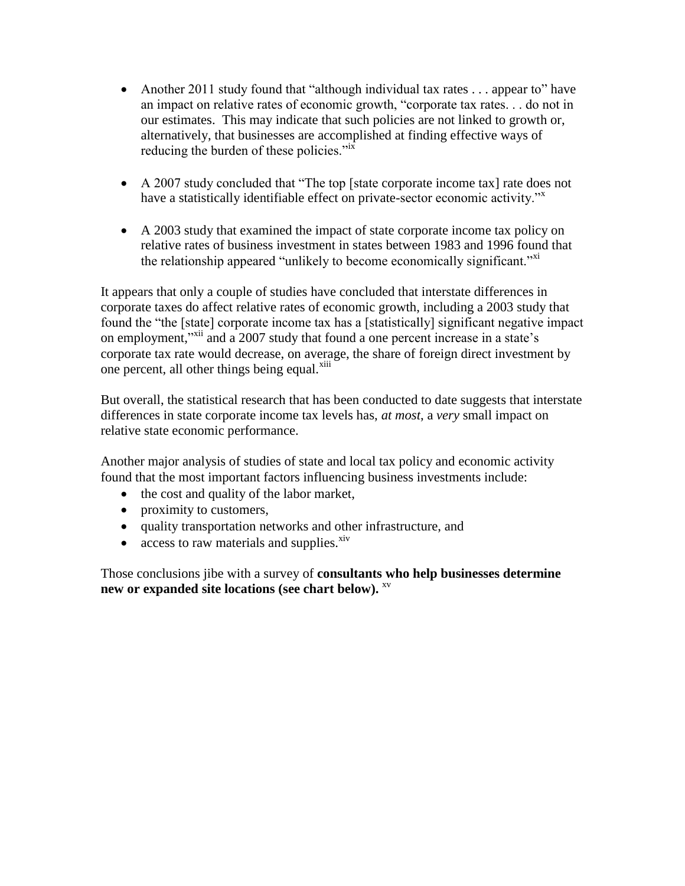- Another 2011 study found that "although individual tax rates . . . appear to" have an impact on relative rates of economic growth, "corporate tax rates. . . do not in our estimates. This may indicate that such policies are not linked to growth or, alternatively, that businesses are accomplished at finding effective ways of reducing the burden of these policies."<sup>ix</sup>
- A 2007 study concluded that "The top [state corporate income tax] rate does not have a statistically identifiable effect on private-sector economic activity."<sup>x</sup>
- A 2003 study that examined the impact of state corporate income tax policy on relative rates of business investment in states between 1983 and 1996 found that the relationship appeared "unlikely to become economically significant."<sup>xi</sup>

It appears that only a couple of studies have concluded that interstate differences in corporate taxes do affect relative rates of economic growth, including a 2003 study that found the "the [state] corporate income tax has a [statistically] significant negative impact on employment,"<sup>xii</sup> and a 2007 study that found a one percent increase in a state's corporate tax rate would decrease, on average, the share of foreign direct investment by one percent, all other things being equal.<sup>xiii</sup>

But overall, the statistical research that has been conducted to date suggests that interstate differences in state corporate income tax levels has, *at most*, a *very* small impact on relative state economic performance.

Another major analysis of studies of state and local tax policy and economic activity found that the most important factors influencing business investments include:

- the cost and quality of the labor market,
- proximity to customers,
- quality transportation networks and other infrastructure, and
- access to raw materials and supplies. $\frac{x^2}{x^3}$

Those conclusions jibe with a survey of **consultants who help businesses determine new or expanded site locations (see chart below).** xv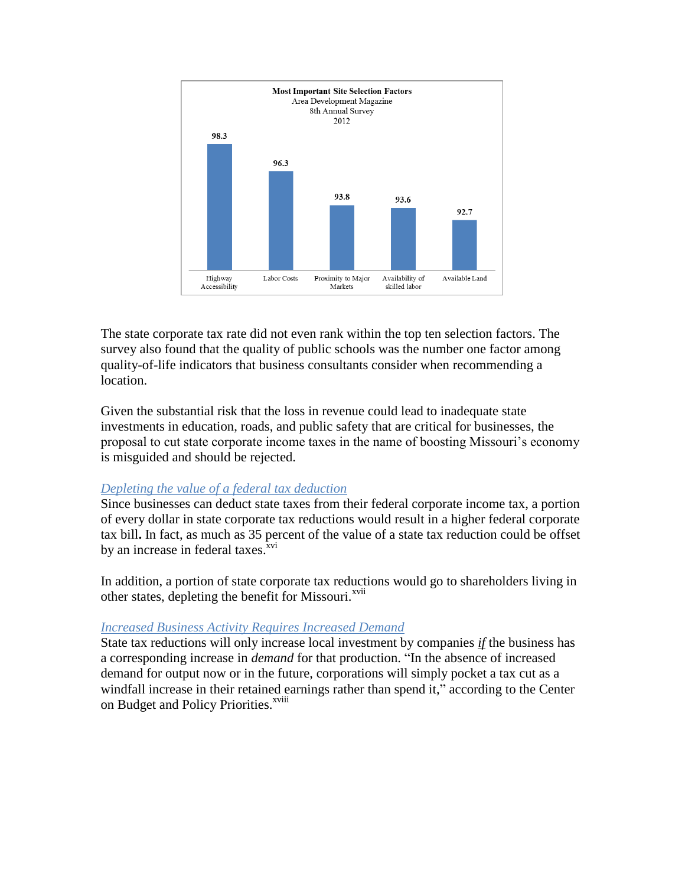

The state corporate tax rate did not even rank within the top ten selection factors. The survey also found that the quality of public schools was the number one factor among quality-of-life indicators that business consultants consider when recommending a location.

Given the substantial risk that the loss in revenue could lead to inadequate state investments in education, roads, and public safety that are critical for businesses, the proposal to cut state corporate income taxes in the name of boosting Missouri's economy is misguided and should be rejected.

#### *Depleting the value of a federal tax deduction*

Since businesses can deduct state taxes from their federal corporate income tax, a portion of every dollar in state corporate tax reductions would result in a higher federal corporate tax bill**.** In fact, as much as 35 percent of the value of a state tax reduction could be offset by an increase in federal taxes.<sup>xvi</sup>

In addition, a portion of state corporate tax reductions would go to shareholders living in other states, depleting the benefit for Missouri.<sup>xvii</sup>

#### *Increased Business Activity Requires Increased Demand*

State tax reductions will only increase local investment by companies *if* the business has a corresponding increase in *demand* for that production. "In the absence of increased demand for output now or in the future, corporations will simply pocket a tax cut as a windfall increase in their retained earnings rather than spend it," according to the Center on Budget and Policy Priorities.<sup>xviii</sup>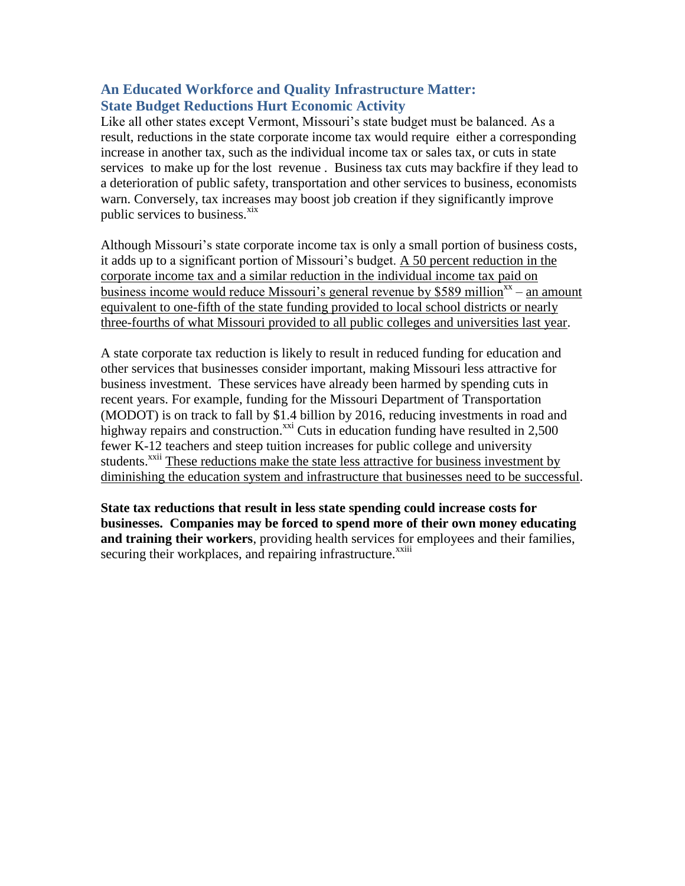## **An Educated Workforce and Quality Infrastructure Matter: State Budget Reductions Hurt Economic Activity**

Like all other states except Vermont, Missouri's state budget must be balanced. As a result, reductions in the state corporate income tax would require either a corresponding increase in another tax, such as the individual income tax or sales tax, or cuts in state services to make up for the lost revenue . Business tax cuts may backfire if they lead to a deterioration of public safety, transportation and other services to business, economists warn. Conversely, tax increases may boost job creation if they significantly improve public services to business.<sup>xix</sup>

Although Missouri's state corporate income tax is only a small portion of business costs, it adds up to a significant portion of Missouri's budget. A 50 percent reduction in the corporate income tax and a similar reduction in the individual income tax paid on business income would reduce Missouri's general revenue by \$589 million<sup>xx</sup> – an amount equivalent to one-fifth of the state funding provided to local school districts or nearly three-fourths of what Missouri provided to all public colleges and universities last year.

A state corporate tax reduction is likely to result in reduced funding for education and other services that businesses consider important, making Missouri less attractive for business investment. These services have already been harmed by spending cuts in recent years. For example, funding for the Missouri Department of Transportation (MODOT) is on track to fall by \$1.4 billion by 2016, reducing investments in road and highway repairs and construction.<sup>xxi</sup> Cuts in education funding have resulted in 2,500 fewer K-12 teachers and steep tuition increases for public college and university students.<sup>xxii</sup> These reductions make the state less attractive for business investment by diminishing the education system and infrastructure that businesses need to be successful.

**State tax reductions that result in less state spending could increase costs for businesses. Companies may be forced to spend more of their own money educating and training their workers**, providing health services for employees and their families, securing their workplaces, and repairing infrastructure.<sup>xxiii</sup>